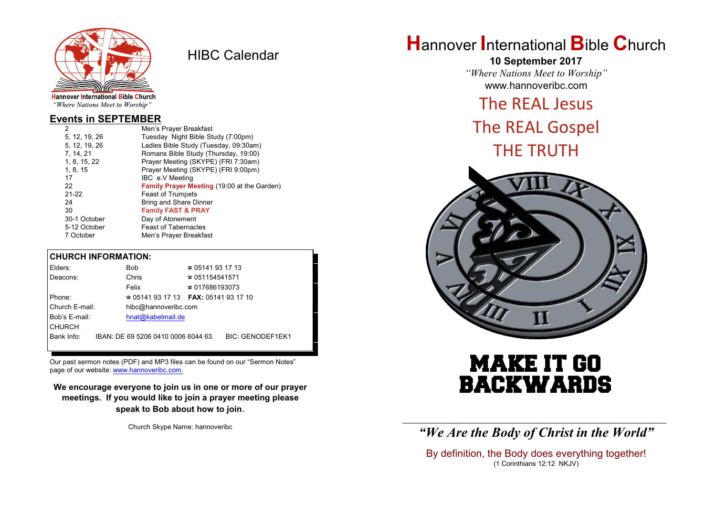

HIBC Calendar

"Where Nations Meet to Worship"

#### **Events in SEPTEMBER**

| 2 |               | Men's Prayer Breakfast                             |
|---|---------------|----------------------------------------------------|
|   | 5, 12, 19, 26 | Tuesday Night Bible Study (7:00pm)                 |
|   | 5, 12, 19, 26 | Ladies Bible Study (Tuesday, 09:30am)              |
|   | 7, 14, 21     | Romans Bible Study (Thursday, 19:00)               |
|   | 1, 8, 15, 22  | Prayer Meeting (SKYPE) (FRI 7:30am)                |
|   | 1, 8, 15      | Prayer Meeting (SKYPE) (FRI 9:00pm)                |
|   | 17            | IBC e.V Meeting                                    |
|   | 22            | <b>Family Prayer Meeting (19:00 at the Garden)</b> |
|   | $21 - 22$     | <b>Feast of Trumpets</b>                           |
|   | 24            | <b>Bring and Share Dinner</b>                      |
|   | 30            | <b>Family FAST &amp; PRAY</b>                      |
|   | 30-1 October  | Day of Atonement                                   |
|   | 5-12 October  | <b>Feast of Tabernacles</b>                        |
|   | 7 October     | Men's Prayer Breakfast                             |
|   |               |                                                    |

#### **CHURCH INFORMATION:**

| Elders:        |  | Bob                                | $\approx 05141931713$                    |                         |  |
|----------------|--|------------------------------------|------------------------------------------|-------------------------|--|
| Deacons:       |  | Chris                              | $\approx 051154541571$                   |                         |  |
|                |  | Felix                              | $\approx 017686193073$                   |                         |  |
| Phone:         |  |                                    | $\approx 05141931713$ FAX: 0514193 17 10 |                         |  |
| Church E-mail: |  | hibc@hannoveribc.com               |                                          |                         |  |
| Bob's E-mail:  |  | hnat@kabelmail.de                  |                                          |                         |  |
| <b>CHURCH</b>  |  |                                    |                                          |                         |  |
| Bank Info:     |  | IBAN: DE 69 5206 0410 0006 6044 63 |                                          | <b>BIC: GENODEF1EK1</b> |  |
|                |  |                                    |                                          |                         |  |

Our past sermon notes (PDF) and MP3 files can be found on our "Sermon Notes" page of our website: [www.hannoveribc.com.](http://www.hannoveribc.com.)

**We encourage everyone to join us in one or more of our prayer meetings. If you would like to join a prayer meeting please speak to Bob about how to join**.

Church Skype Name: hannoveribc

## **H**annover **I**nternational **B**ible **C**hurch

**10 September 2017** *"Where Nations Meet to Worship"* www.hannoveribc.com

### The REAL Jesus

The REAL Gospel THE TRUTH



# MAKE IT GO BACKWARDS

\_\_\_\_\_\_\_\_\_\_\_\_\_\_\_\_\_\_\_\_\_\_\_\_\_\_\_\_\_\_\_\_\_\_\_\_\_\_\_\_\_\_\_\_\_\_\_\_\_\_\_\_\_\_\_\_\_\_\_\_\_\_ *"We Are the Body of Christ in the World"*

By definition, the Body does everything together! (1 Corinthians 12:12 NKJV)